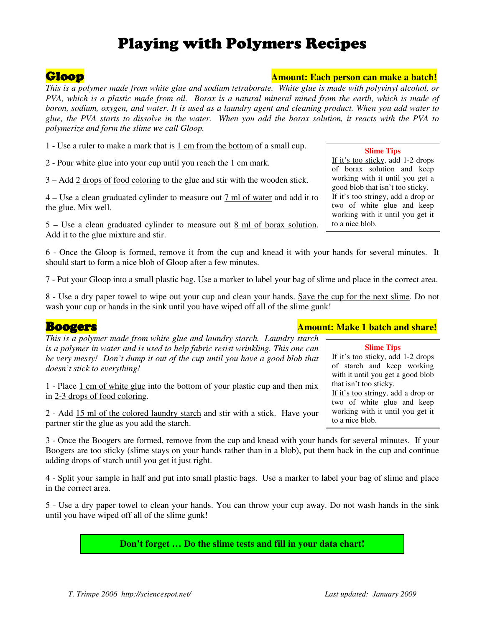# Playing with Polymers Recipes

# Gloop **Amount: Each person can make a batch! Amount: Each person can make a batch!**

*This is a polymer made from white glue and sodium tetraborate. White glue is made with polyvinyl alcohol, or PVA, which is a plastic made from oil. Borax is a natural mineral mined from the earth, which is made of boron, sodium, oxygen, and water. It is used as a laundry agent and cleaning product. When you add water to glue, the PVA starts to dissolve in the water. When you add the borax solution, it reacts with the PVA to polymerize and form the slime we call Gloop.* 

1 - Use a ruler to make a mark that is 1 cm from the bottom of a small cup.

2 - Pour white glue into your cup until you reach the 1 cm mark.

3 – Add 2 drops of food coloring to the glue and stir with the wooden stick.

4 – Use a clean graduated cylinder to measure out 7 ml of water and add it to the glue. Mix well.

5 – Use a clean graduated cylinder to measure out 8 ml of borax solution. Add it to the glue mixture and stir.

6 - Once the Gloop is formed, remove it from the cup and knead it with your hands for several minutes. It should start to form a nice blob of Gloop after a few minutes.

7 - Put your Gloop into a small plastic bag. Use a marker to label your bag of slime and place in the correct area.

8 - Use a dry paper towel to wipe out your cup and clean your hands. Save the cup for the next slime. Do not wash your cup or hands in the sink until you have wiped off all of the slime gunk!

*This is a polymer made from white glue and laundry starch. Laundry starch is a polymer in water and is used to help fabric resist wrinkling. This one can be very messy! Don't dump it out of the cup until you have a good blob that doesn't stick to everything!* 

1 - Place 1 cm of white glue into the bottom of your plastic cup and then mix in 2-3 drops of food coloring.

2 - Add 15 ml of the colored laundry starch and stir with a stick. Have your partner stir the glue as you add the starch.

3 - Once the Boogers are formed, remove from the cup and knead with your hands for several minutes. If your Boogers are too sticky (slime stays on your hands rather than in a blob), put them back in the cup and continue adding drops of starch until you get it just right.

4 - Split your sample in half and put into small plastic bags. Use a marker to label your bag of slime and place in the correct area.

5 - Use a dry paper towel to clean your hands. You can throw your cup away. Do not wash hands in the sink until you have wiped off all of the slime gunk!

**Don't forget … Do the slime tests and fill in your data chart!** 

### **Boogers Boogers Amount:** Make 1 batch and share!

that isn't too sticky.

to a nice blob.

**Slime Tips**  If it's too sticky, add 1-2 drops of starch and keep working with it until you get a good blob

If it's too stringy, add a drop or two of white glue and keep working with it until you get it

### **Slime Tips**  If it's too sticky, add 1-2 drops of borax solution and keep working with it until you get a good blob that isn't too sticky. If it's too stringy, add a drop or two of white glue and keep working with it until you get it to a nice blob.